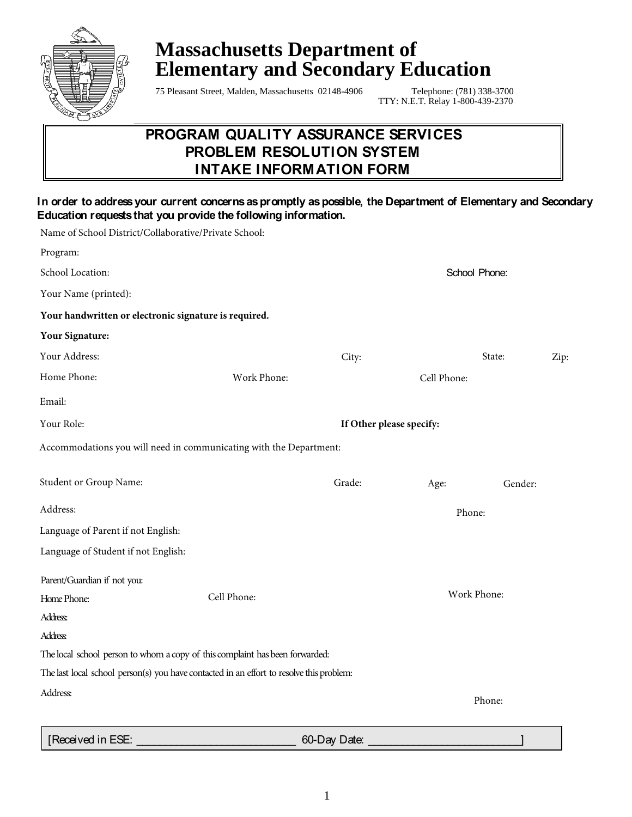

# **Massachusetts Department of Elementary and Secondary Education**

75 Pleasant Street, Malden, Massachusetts 02148-4906 Telephone: (781) 338-3700

TTY: N.E.T. Relay 1-800-439-2370

# **PROGRAM QUALITY ASSURANCE SERVICES PROBLEM RESOLUTION SYSTEM INTAKE INFORMATION FORM**

#### **In order to address your current concerns as promptly as possible, the Department of Elementary and Secondary Education requests that you provide the following information.**

| Name of School District/Collaborative/Private School: |                                                                                          |                          |             |         |      |  |
|-------------------------------------------------------|------------------------------------------------------------------------------------------|--------------------------|-------------|---------|------|--|
| Program:                                              |                                                                                          |                          |             |         |      |  |
| School Location:                                      | School Phone:                                                                            |                          |             |         |      |  |
| Your Name (printed):                                  |                                                                                          |                          |             |         |      |  |
| Your handwritten or electronic signature is required. |                                                                                          |                          |             |         |      |  |
| <b>Your Signature:</b>                                |                                                                                          |                          |             |         |      |  |
| Your Address:                                         |                                                                                          | City:                    |             | State:  | Zip: |  |
| Home Phone:                                           | Work Phone:                                                                              |                          | Cell Phone: |         |      |  |
| Email:                                                |                                                                                          |                          |             |         |      |  |
| Your Role:                                            |                                                                                          | If Other please specify: |             |         |      |  |
|                                                       | Accommodations you will need in communicating with the Department:                       |                          |             |         |      |  |
| Student or Group Name:                                |                                                                                          | Grade:                   | Age:        | Gender: |      |  |
| Address:                                              |                                                                                          | Phone:                   |             |         |      |  |
| Language of Parent if not English:                    |                                                                                          |                          |             |         |      |  |
| Language of Student if not English:                   |                                                                                          |                          |             |         |      |  |
| Parent/Guardian if not you:                           |                                                                                          |                          |             |         |      |  |
| Home Phone:                                           | Cell Phone:                                                                              | Work Phone:              |             |         |      |  |
| Address:                                              |                                                                                          |                          |             |         |      |  |
| <b>Address</b>                                        |                                                                                          |                          |             |         |      |  |
|                                                       | The local school person to whom a copy of this complaint has been forwarded:             |                          |             |         |      |  |
|                                                       | The last local school person(s) you have contacted in an effort to resolve this problem: |                          |             |         |      |  |
| Address:                                              |                                                                                          |                          | Phone:      |         |      |  |
|                                                       |                                                                                          |                          |             |         |      |  |
|                                                       |                                                                                          |                          |             |         |      |  |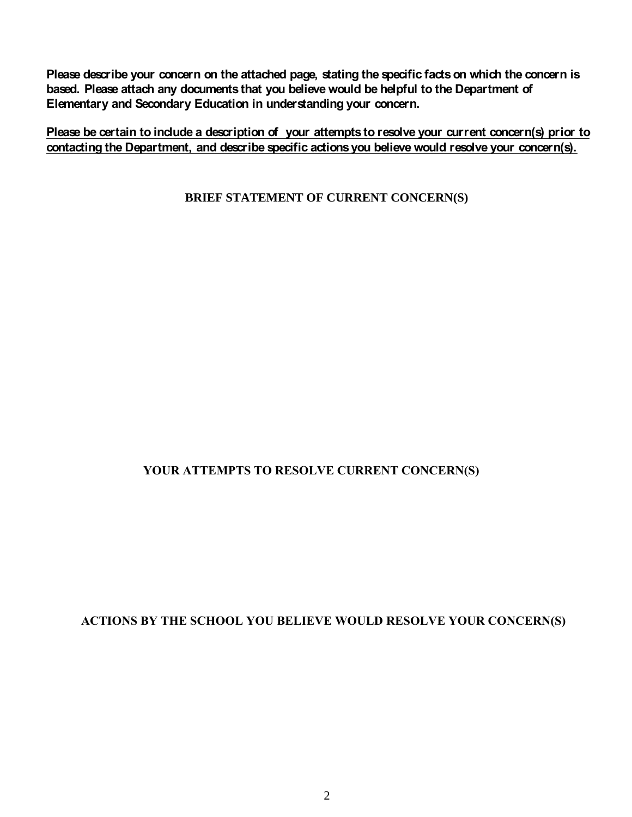**Please describe your concern on the attached page, stating the specific facts on which the concern is based. Please attach any documents that you believe would be helpful to the Department of Elementary and Secondary Education in understanding your concern.** 

**Please be certain to include a description of your attempts to resolve your current concern(s) prior to contacting the Department, and describe specific actions you believe would resolve your concern(s).**

**BRIEF STATEMENT OF CURRENT CONCERN(S)** 

## **YOUR ATTEMPTS TO RESOLVE CURRENT CONCERN(S)**

### **ACTIONS BY THE SCHOOL YOU BELIEVE WOULD RESOLVE YOUR CONCERN(S)**